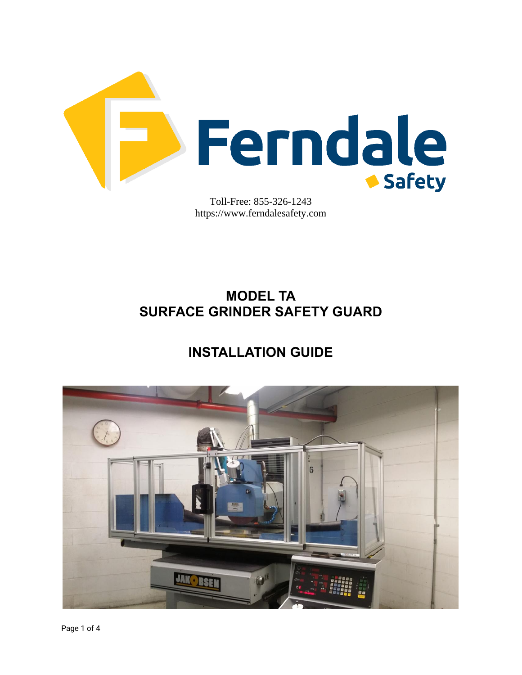

Toll-Free: 855-326-1243 https://www.ferndalesafety.com

# **MODEL TA SURFACE GRINDER SAFETY GUARD**

# **INSTALLATION GUIDE**

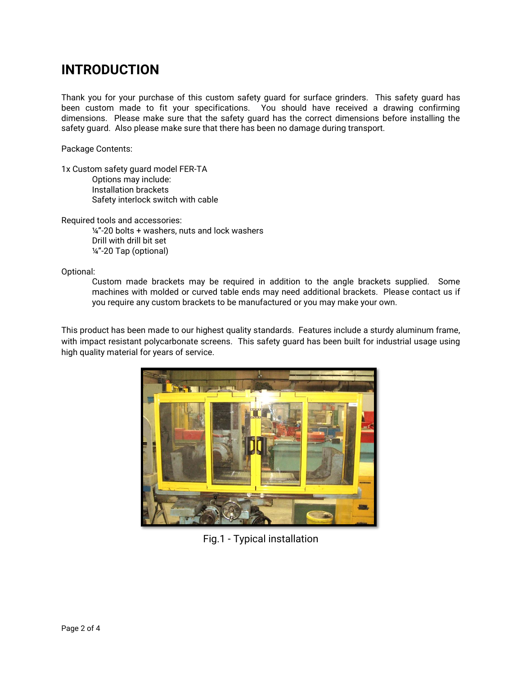## **INTRODUCTION**

Thank you for your purchase of this custom safety guard for surface grinders. This safety guard has been custom made to fit your specifications. You should have received a drawing confirming dimensions. Please make sure that the safety guard has the correct dimensions before installing the safety guard. Also please make sure that there has been no damage during transport.

Package Contents:

1x Custom safety guard model FER-TA Options may include: Installation brackets Safety interlock switch with cable

Required tools and accessories:

¼"-20 bolts + washers, nuts and lock washers Drill with drill bit set ¼"-20 Tap (optional)

Optional:

Custom made brackets may be required in addition to the angle brackets supplied. Some machines with molded or curved table ends may need additional brackets. Please contact us if you require any custom brackets to be manufactured or you may make your own.

This product has been made to our highest quality standards. Features include a sturdy aluminum frame, with impact resistant polycarbonate screens. This safety guard has been built for industrial usage using high quality material for years of service.



Fig.1 - Typical installation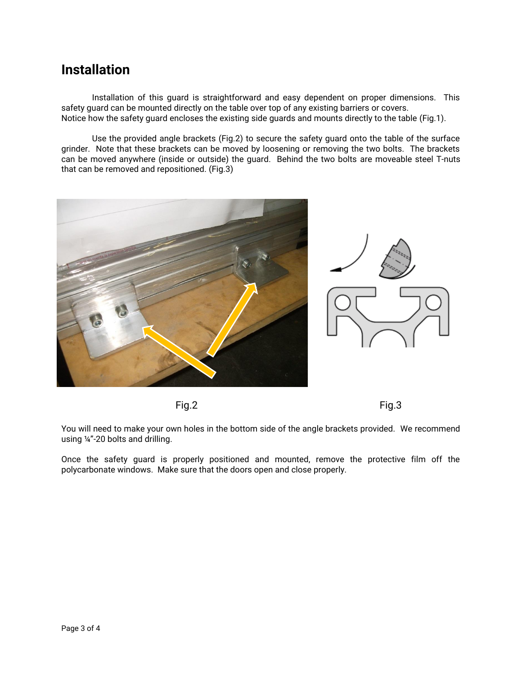### **Installation**

Installation of this guard is straightforward and easy dependent on proper dimensions. This safety guard can be mounted directly on the table over top of any existing barriers or covers. Notice how the safety guard encloses the existing side guards and mounts directly to the table (Fig.1).

Use the provided angle brackets (Fig.2) to secure the safety guard onto the table of the surface grinder. Note that these brackets can be moved by loosening or removing the two bolts. The brackets can be moved anywhere (inside or outside) the guard. Behind the two bolts are moveable steel T-nuts that can be removed and repositioned. (Fig.3)





You will need to make your own holes in the bottom side of the angle brackets provided. We recommend using ¼"-20 bolts and drilling.

Once the safety guard is properly positioned and mounted, remove the protective film off the polycarbonate windows. Make sure that the doors open and close properly.